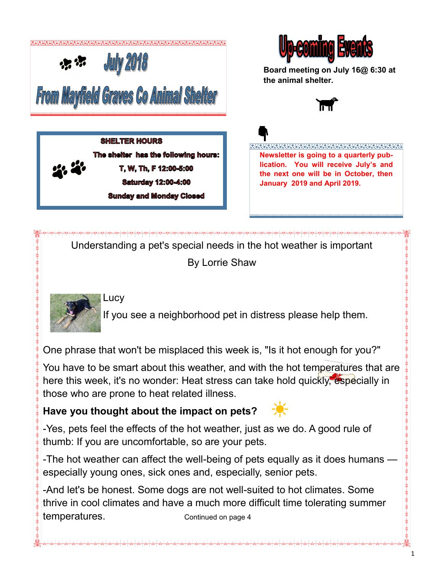

## **SHELTER HOURS** The shelter has the following hours: T. W. Th. F 12:00-5:00 **Saturday 12:00-4:00 Sunday and Monday Closed**



**Board meeting on July 16@ 6:30 at the animal shelter.**



<u> STATESTAS STATES SASTAS SASTAS SASTAS SASTA</u> **Newsletter is going to a quarterly publication. You will receive July's and the next one will be in October, then January 2019 and April 2019.** 

Understanding a pet's special needs in the hot weather is important

By Lorrie Shaw



Lucy

If you see a neighborhood pet in distress please help them.

One phrase that won't be misplaced this week is, "Is it hot enough for you?"

You have to be smart about this weather, and with the hot temperatures that are here this week, it's no wonder: Heat stress can take hold quickly, especially in those who are prone to heat related illness.

# **Have you thought about the impact on pets?**

-Yes, pets feel the effects of the hot weather, just as we do. A good rule of thumb: If you are uncomfortable, so are your pets.

-The hot weather can affect the well-being of pets equally as it does humans especially young ones, sick ones and, especially, senior pets.

-And let's be honest. Some dogs are not well-suited to hot climates. Some thrive in cool climates and have a much more difficult time tolerating summer temperatures. Continued on page 4

1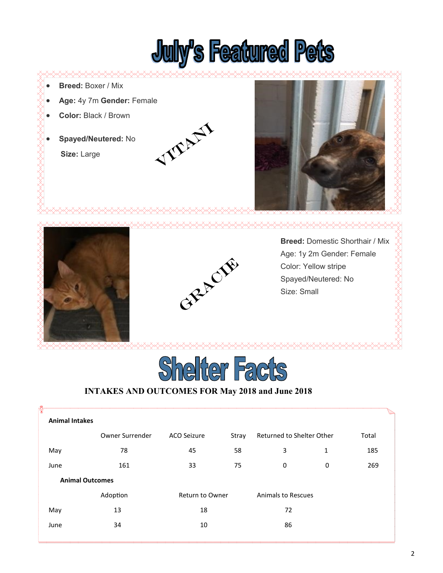

- **Breed:** Boxer / Mix
- **Age:** 4y 7m **Gender:** Female
- **Color:** Black / Brown
- **Spayed/Neutered:** No

 **Size:** Large









**Breed:** Domestic Shorthair / Mix Age: 1y 2m Gender: Female Color: Yellow stripe Spayed/Neutered: No Size: Small



### **INTAKES AND OUTCOMES FOR May 2018 and June 2018**

| <b>Animal Intakes</b>  |                 |                        |       |                           |   |       |  |
|------------------------|-----------------|------------------------|-------|---------------------------|---|-------|--|
|                        | Owner Surrender | ACO Seizure            | Stray | Returned to Shelter Other |   | Total |  |
| May                    | 78              | 45                     | 58    | 3                         | 1 | 185   |  |
| June                   | 161             | 33                     | 75    | 0                         | 0 | 269   |  |
| <b>Animal Outcomes</b> |                 |                        |       |                           |   |       |  |
|                        | Adoption        | <b>Return to Owner</b> |       | <b>Animals to Rescues</b> |   |       |  |
| May                    | 13              | 18                     |       | 72                        |   |       |  |
| June                   | 34              | 10                     |       | 86                        |   |       |  |
|                        |                 |                        |       |                           |   |       |  |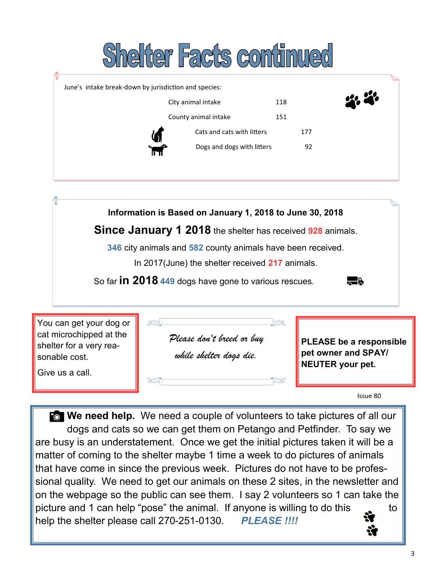# Shelter Facts continued

| June's intake break-down by jurisdiction and species: |                            |     | <u>on 20</u> |
|-------------------------------------------------------|----------------------------|-----|--------------|
|                                                       | City animal intake         | 118 |              |
|                                                       | County animal intake       | 151 |              |
|                                                       | Cats and cats with litters | 177 |              |
|                                                       | Dogs and dogs with litters | 92  |              |

**Information is Based on January 1, 2018 to June 30, 2018**

**Since January 1 2018** the shelter has received **928** animals.

**346** city animals and **582** county animals have been received.

In 2017(June) the shelter received **217** animals.

So far **in 2018 449** dogs have gone to various rescues.



You can get your dog or cat microchipped at the shelter for a very reasonable cost.

Give us a call.

*Please don't breed or buy while shelter dogs die.* 

**PLEASE be a responsible pet owner and SPAY/ NEUTER your pet.**

Issue 80

**For We need help.** We need a couple of volunteers to take pictures of all our dogs and cats so we can get them on Petango and Petfinder. To say we are busy is an understatement. Once we get the initial pictures taken it will be a matter of coming to the shelter maybe 1 time a week to do pictures of animals that have come in since the previous week. Pictures do not have to be professional quality. We need to get our animals on these 2 sites, in the newsletter and on the webpage so the public can see them. I say 2 volunteers so 1 can take the picture and 1 can help "pose" the animal. If anyone is willing to do this to help the shelter please call 270-251-0130. *PLEASE !!!!* ₩